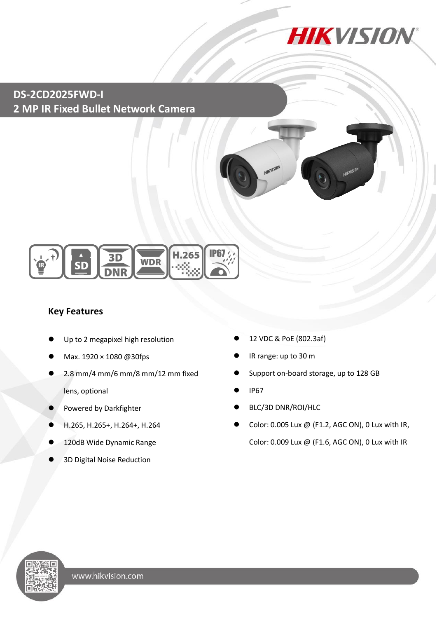

# **DS-2CD2025FWD-I 2 MP IR Fixed Bullet Network Camera**



### **Key Features**

- Up to 2 megapixel high resolution
- Max. 1920 × 1080 @30fps
- 2.8 mm/4 mm/6 mm/8 mm/12 mm fixed lens, optional
- Powered by Darkfighter
- H.265, H.265+, H.264+, H.264
- 120dB Wide Dynamic Range
- 3D Digital Noise Reduction
- 12 VDC & PoE (802.3af)
- IR range: up to 30 m

KVISIO

- Support on-board storage, up to 128 GB
- IP67
- BLC/3D DNR/ROI/HLC
- Color: 0.005 Lux @ (F1.2, AGC ON), 0 Lux with IR, Color: 0.009 Lux @ (F1.6, AGC ON), 0 Lux with IR

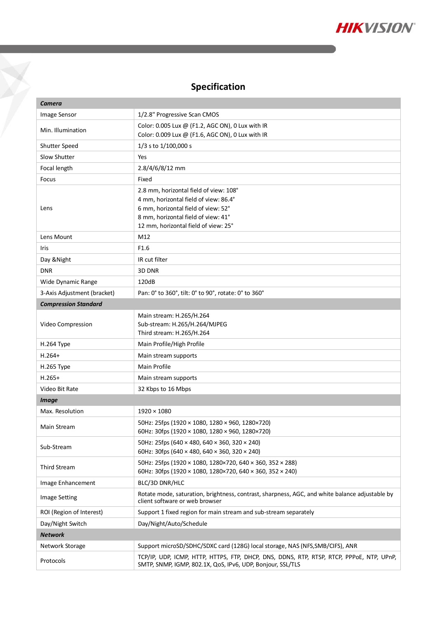

# **Specification**

 $\sum_{i=1}^{n}$ 

| <b>Camera</b>               |                                                                                                                                                                                                       |  |
|-----------------------------|-------------------------------------------------------------------------------------------------------------------------------------------------------------------------------------------------------|--|
| Image Sensor                | 1/2.8" Progressive Scan CMOS                                                                                                                                                                          |  |
| Min. Illumination           | Color: 0.005 Lux @ (F1.2, AGC ON), 0 Lux with IR<br>Color: 0.009 Lux @ (F1.6, AGC ON), 0 Lux with IR                                                                                                  |  |
| Shutter Speed               | 1/3 s to 1/100,000 s                                                                                                                                                                                  |  |
| Slow Shutter                | Yes                                                                                                                                                                                                   |  |
| Focal length                | 2.8/4/6/8/12 mm                                                                                                                                                                                       |  |
| Focus                       | Fixed                                                                                                                                                                                                 |  |
| Lens                        | 2.8 mm, horizontal field of view: 108°<br>4 mm, horizontal field of view: 86.4°<br>6 mm, horizontal field of view: 52°<br>8 mm, horizontal field of view: 41°<br>12 mm, horizontal field of view: 25° |  |
| Lens Mount                  | M12                                                                                                                                                                                                   |  |
| Iris                        | F1.6                                                                                                                                                                                                  |  |
| Day & Night                 | IR cut filter                                                                                                                                                                                         |  |
| <b>DNR</b>                  | 3D DNR                                                                                                                                                                                                |  |
| Wide Dynamic Range          | 120dB                                                                                                                                                                                                 |  |
| 3-Axis Adjustment (bracket) | Pan: 0° to 360°, tilt: 0° to 90°, rotate: 0° to 360°                                                                                                                                                  |  |
| <b>Compression Standard</b> |                                                                                                                                                                                                       |  |
| Video Compression           | Main stream: H.265/H.264<br>Sub-stream: H.265/H.264/MJPEG<br>Third stream: H.265/H.264                                                                                                                |  |
| H.264 Type                  | Main Profile/High Profile                                                                                                                                                                             |  |
| $H.264+$                    | Main stream supports                                                                                                                                                                                  |  |
| H.265 Type                  | <b>Main Profile</b>                                                                                                                                                                                   |  |
| $H.265+$                    | Main stream supports                                                                                                                                                                                  |  |
| Video Bit Rate              | 32 Kbps to 16 Mbps                                                                                                                                                                                    |  |
| <b>Image</b>                |                                                                                                                                                                                                       |  |
| Max. Resolution             | $1920 \times 1080$                                                                                                                                                                                    |  |
| Main Stream                 | 50Hz: 25fps (1920 × 1080, 1280 × 960, 1280×720)<br>60Hz: 30fps (1920 × 1080, 1280 × 960, 1280×720)                                                                                                    |  |
| Sub-Stream                  | 50Hz: 25fps (640 × 480, 640 × 360, 320 × 240)<br>60Hz: 30fps (640 × 480, 640 × 360, 320 × 240)                                                                                                        |  |
| Third Stream                | 50Hz: 25fps (1920 × 1080, 1280×720, 640 × 360, 352 × 288)<br>60Hz: 30fps (1920 × 1080, 1280×720, 640 × 360, 352 × 240)                                                                                |  |
| Image Enhancement           | BLC/3D DNR/HLC                                                                                                                                                                                        |  |
| <b>Image Setting</b>        | Rotate mode, saturation, brightness, contrast, sharpness, AGC, and white balance adjustable by<br>client software or web browser                                                                      |  |
| ROI (Region of Interest)    | Support 1 fixed region for main stream and sub-stream separately                                                                                                                                      |  |
| Day/Night Switch            | Day/Night/Auto/Schedule                                                                                                                                                                               |  |
| <b>Network</b>              |                                                                                                                                                                                                       |  |
| Network Storage             | Support microSD/SDHC/SDXC card (128G) local storage, NAS (NFS, SMB/CIFS), ANR                                                                                                                         |  |
| Protocols                   | TCP/IP, UDP, ICMP, HTTP, HTTPS, FTP, DHCP, DNS, DDNS, RTP, RTSP, RTCP, PPPOE, NTP, UPnP,<br>SMTP, SNMP, IGMP, 802.1X, QoS, IPv6, UDP, Bonjour, SSL/TLS                                                |  |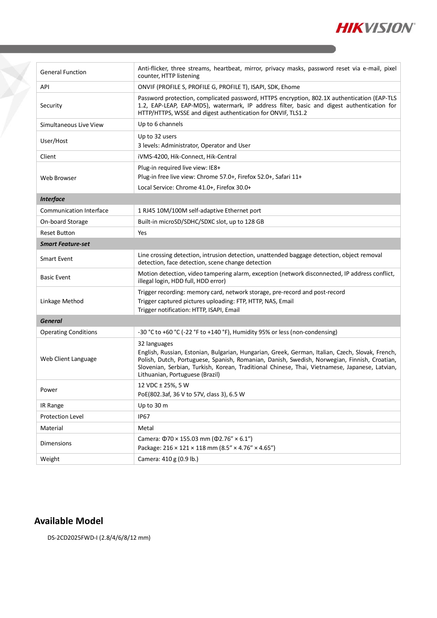

| <b>General Function</b>        | Anti-flicker, three streams, heartbeat, mirror, privacy masks, password reset via e-mail, pixel<br>counter, HTTP listening                                                                                                                                                                                                                            |
|--------------------------------|-------------------------------------------------------------------------------------------------------------------------------------------------------------------------------------------------------------------------------------------------------------------------------------------------------------------------------------------------------|
| API                            | ONVIF (PROFILE S, PROFILE G, PROFILE T), ISAPI, SDK, Ehome                                                                                                                                                                                                                                                                                            |
| Security                       | Password protection, complicated password, HTTPS encryption, 802.1X authentication (EAP-TLS<br>1.2, EAP-LEAP, EAP-MD5), watermark, IP address filter, basic and digest authentication for<br>HTTP/HTTPS, WSSE and digest authentication for ONVIF, TLS1.2                                                                                             |
| Simultaneous Live View         | Up to 6 channels                                                                                                                                                                                                                                                                                                                                      |
| User/Host                      | Up to 32 users<br>3 levels: Administrator, Operator and User                                                                                                                                                                                                                                                                                          |
| Client                         | iVMS-4200, Hik-Connect, Hik-Central                                                                                                                                                                                                                                                                                                                   |
| Web Browser                    | Plug-in required live view: IE8+<br>Plug-in free live view: Chrome 57.0+, Firefox 52.0+, Safari 11+<br>Local Service: Chrome 41.0+, Firefox 30.0+                                                                                                                                                                                                     |
| <b>Interface</b>               |                                                                                                                                                                                                                                                                                                                                                       |
| <b>Communication Interface</b> | 1 RJ45 10M/100M self-adaptive Ethernet port                                                                                                                                                                                                                                                                                                           |
| On-board Storage               | Built-in microSD/SDHC/SDXC slot, up to 128 GB                                                                                                                                                                                                                                                                                                         |
| <b>Reset Button</b>            | Yes                                                                                                                                                                                                                                                                                                                                                   |
| <b>Smart Feature-set</b>       |                                                                                                                                                                                                                                                                                                                                                       |
| Smart Event                    | Line crossing detection, intrusion detection, unattended baggage detection, object removal<br>detection, face detection, scene change detection                                                                                                                                                                                                       |
| <b>Basic Event</b>             | Motion detection, video tampering alarm, exception (network disconnected, IP address conflict,<br>illegal login, HDD full, HDD error)                                                                                                                                                                                                                 |
| Linkage Method                 | Trigger recording: memory card, network storage, pre-record and post-record<br>Trigger captured pictures uploading: FTP, HTTP, NAS, Email<br>Trigger notification: HTTP, ISAPI, Email                                                                                                                                                                 |
| <b>General</b>                 |                                                                                                                                                                                                                                                                                                                                                       |
| <b>Operating Conditions</b>    | -30 °C to +60 °C (-22 °F to +140 °F), Humidity 95% or less (non-condensing)                                                                                                                                                                                                                                                                           |
| Web Client Language            | 32 languages<br>English, Russian, Estonian, Bulgarian, Hungarian, Greek, German, Italian, Czech, Slovak, French,<br>Polish, Dutch, Portuguese, Spanish, Romanian, Danish, Swedish, Norwegian, Finnish, Croatian,<br>Slovenian, Serbian, Turkish, Korean, Traditional Chinese, Thai, Vietnamese, Japanese, Latvian,<br>Lithuanian, Portuguese (Brazil) |
| Power                          | 12 VDC ± 25%, 5 W<br>PoE(802.3af, 36 V to 57V, class 3), 6.5 W                                                                                                                                                                                                                                                                                        |
| IR Range                       | Up to 30 m                                                                                                                                                                                                                                                                                                                                            |
| Protection Level               | <b>IP67</b>                                                                                                                                                                                                                                                                                                                                           |
| Material                       | Metal                                                                                                                                                                                                                                                                                                                                                 |
| Dimensions                     | Camera: $\Phi$ 70 × 155.03 mm ( $\Phi$ 2.76" × 6.1")<br>Package: 216 × 121 × 118 mm (8.5" × 4.76" × 4.65")                                                                                                                                                                                                                                            |
| Weight                         | Camera: 410 g (0.9 lb.)                                                                                                                                                                                                                                                                                                                               |

### **Available Model**

Y

DS-2CD2025FWD-I (2.8/4/6/8/12 mm)